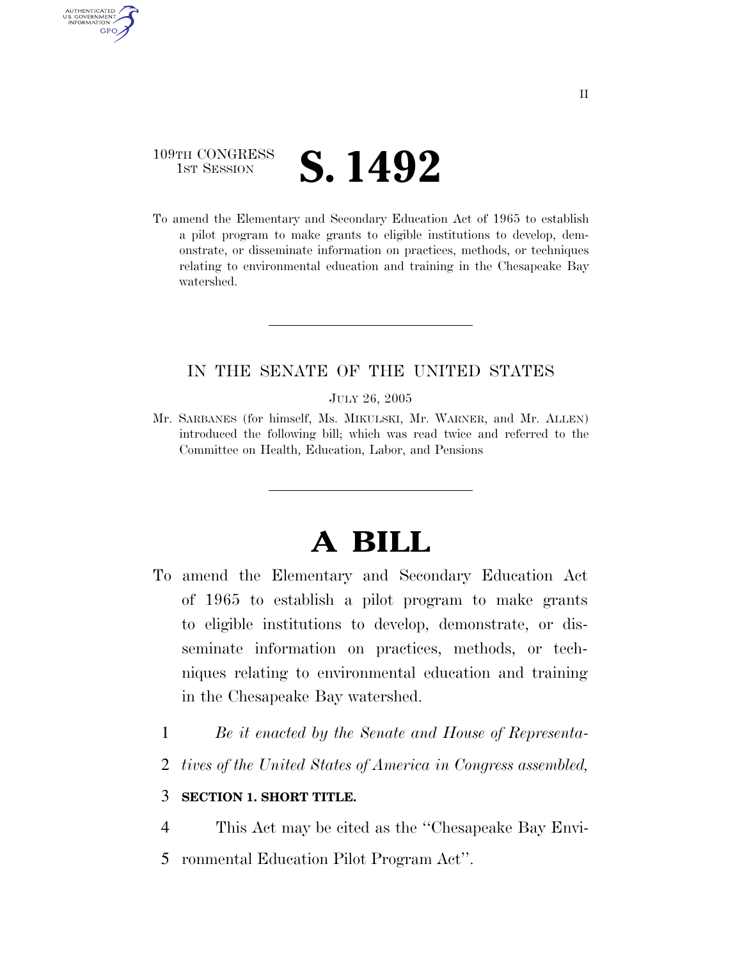# 109TH CONGRESS **1st Session S. 1492**

AUTHENTICATED U.S. GOVERNMENT **GPO** 

> To amend the Elementary and Secondary Education Act of 1965 to establish a pilot program to make grants to eligible institutions to develop, demonstrate, or disseminate information on practices, methods, or techniques relating to environmental education and training in the Chesapeake Bay watershed.

## IN THE SENATE OF THE UNITED STATES

JULY 26, 2005

Mr. SARBANES (for himself, Ms. MIKULSKI, Mr. WARNER, and Mr. ALLEN) introduced the following bill; which was read twice and referred to the Committee on Health, Education, Labor, and Pensions

# **A BILL**

- To amend the Elementary and Secondary Education Act of 1965 to establish a pilot program to make grants to eligible institutions to develop, demonstrate, or disseminate information on practices, methods, or techniques relating to environmental education and training in the Chesapeake Bay watershed.
	- 1 *Be it enacted by the Senate and House of Representa-*
	- 2 *tives of the United States of America in Congress assembled,*

### 3 **SECTION 1. SHORT TITLE.**

4 This Act may be cited as the ''Chesapeake Bay Envi-

5 ronmental Education Pilot Program Act''.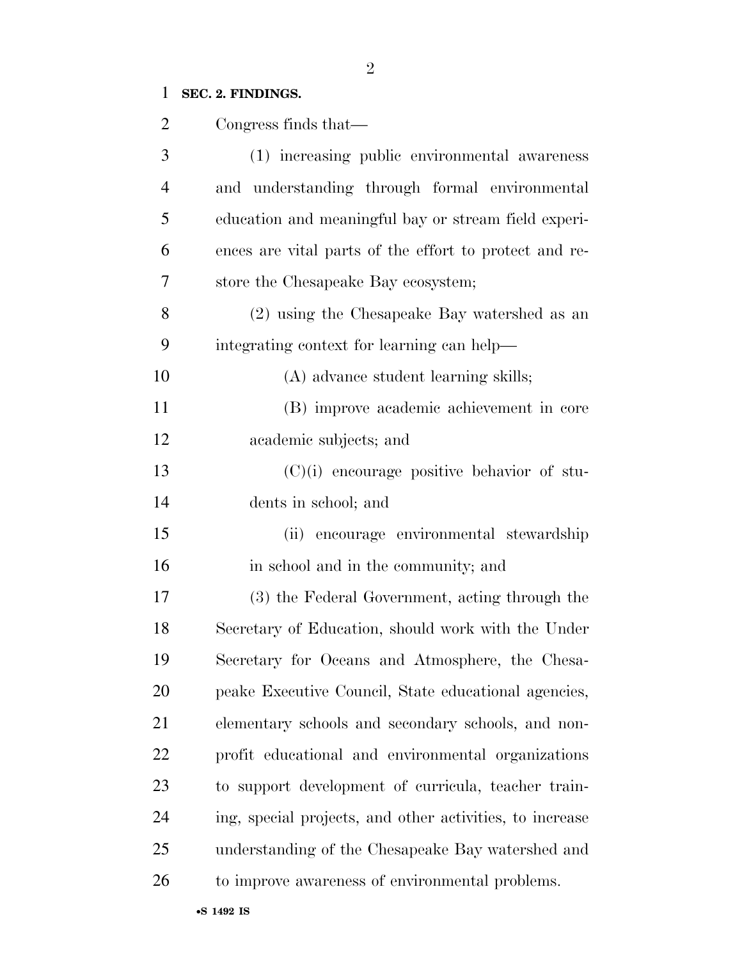# **SEC. 2. FINDINGS.**

| 2              | Congress finds that—                                     |
|----------------|----------------------------------------------------------|
| 3              | (1) increasing public environmental awareness            |
| $\overline{4}$ | and understanding through formal environmental           |
| 5              | education and meaningful bay or stream field experi-     |
| 6              | ences are vital parts of the effort to protect and re-   |
| 7              | store the Chesapeake Bay ecosystem;                      |
| 8              | (2) using the Chesapeake Bay watershed as an             |
| 9              | integrating context for learning can help—               |
| 10             | (A) advance student learning skills;                     |
| 11             | (B) improve academic achievement in core                 |
| 12             | academic subjects; and                                   |
| 13             | $(C)(i)$ encourage positive behavior of stu-             |
| 14             | dents in school; and                                     |
| 15             | (ii) encourage environmental stewardship                 |
| 16             | in school and in the community; and                      |
| 17             | (3) the Federal Government, acting through the           |
| 18             | Secretary of Education, should work with the Under       |
| 19             | Secretary for Oceans and Atmosphere, the Chesa-          |
| 20             | peake Executive Council, State educational agencies,     |
| 21             | elementary schools and secondary schools, and non-       |
| 22             | profit educational and environmental organizations       |
| 23             | to support development of curricula, teacher train-      |
| 24             | ing, special projects, and other activities, to increase |
| 25             | understanding of the Chesapeake Bay watershed and        |
| 26             | to improve awareness of environmental problems.          |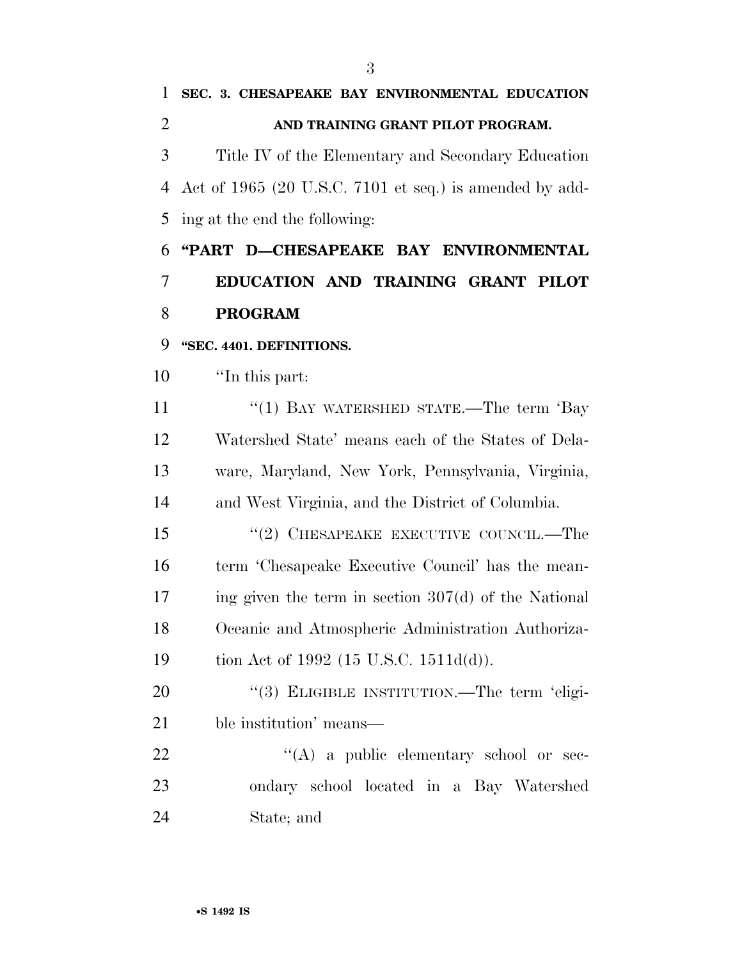Title IV of the Elementary and Secondary Education Act of 1965 (20 U.S.C. 7101 et seq.) is amended by add-ing at the end the following:

 **''PART D—CHESAPEAKE BAY ENVIRONMENTAL EDUCATION AND TRAINING GRANT PILOT PROGRAM** 

**''SEC. 4401. DEFINITIONS.** 

''In this part:

11 ''(1) BAY WATERSHED STATE.—The term 'Bay Watershed State' means each of the States of Dela- ware, Maryland, New York, Pennsylvania, Virginia, and West Virginia, and the District of Columbia.

15 "(2) CHESAPEAKE EXECUTIVE COUNCIL.—The term 'Chesapeake Executive Council' has the mean- ing given the term in section 307(d) of the National Oceanic and Atmospheric Administration Authoriza-tion Act of 1992 (15 U.S.C. 1511d(d)).

20 "(3) ELIGIBLE INSTITUTION.—The term 'eligi-ble institution' means—

22 "(A) a public elementary school or sec- ondary school located in a Bay Watershed State; and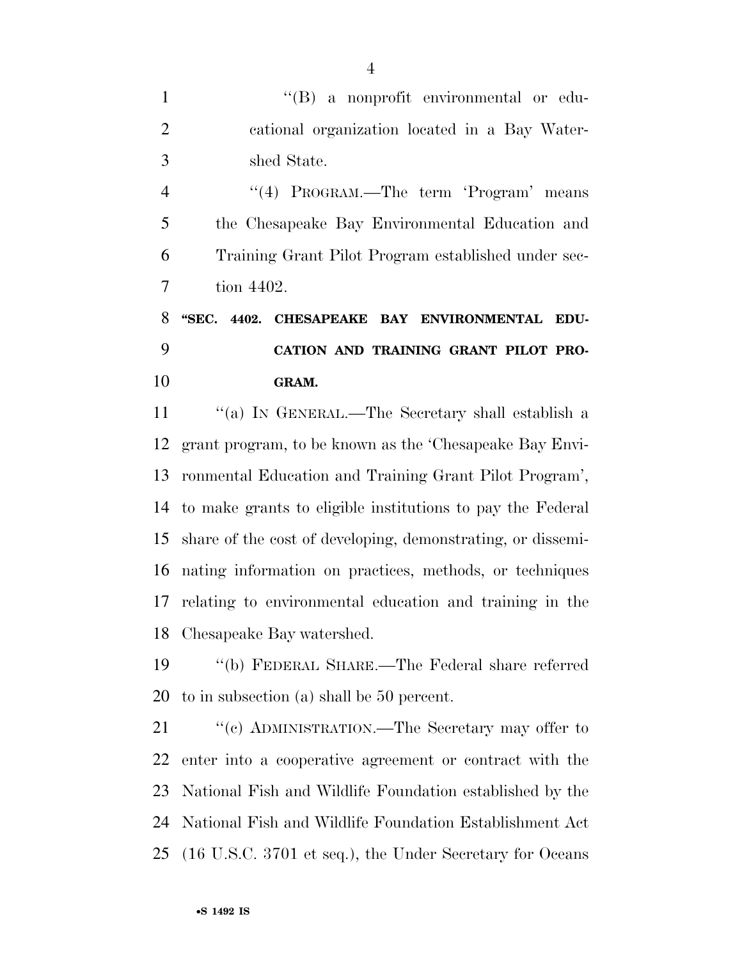1 ''(B) a nonprofit environmental or edu- cational organization located in a Bay Water-shed State.

4 "(4) PROGRAM.—The term 'Program' means the Chesapeake Bay Environmental Education and Training Grant Pilot Program established under sec-tion 4402.

# **''SEC. 4402. CHESAPEAKE BAY ENVIRONMENTAL EDU- CATION AND TRAINING GRANT PILOT PRO-GRAM.**

 ''(a) IN GENERAL.—The Secretary shall establish a grant program, to be known as the 'Chesapeake Bay Envi- ronmental Education and Training Grant Pilot Program', to make grants to eligible institutions to pay the Federal share of the cost of developing, demonstrating, or dissemi- nating information on practices, methods, or techniques relating to environmental education and training in the Chesapeake Bay watershed.

 ''(b) FEDERAL SHARE.—The Federal share referred to in subsection (a) shall be 50 percent.

21 ""(c) ADMINISTRATION.—The Secretary may offer to enter into a cooperative agreement or contract with the National Fish and Wildlife Foundation established by the National Fish and Wildlife Foundation Establishment Act (16 U.S.C. 3701 et seq.), the Under Secretary for Oceans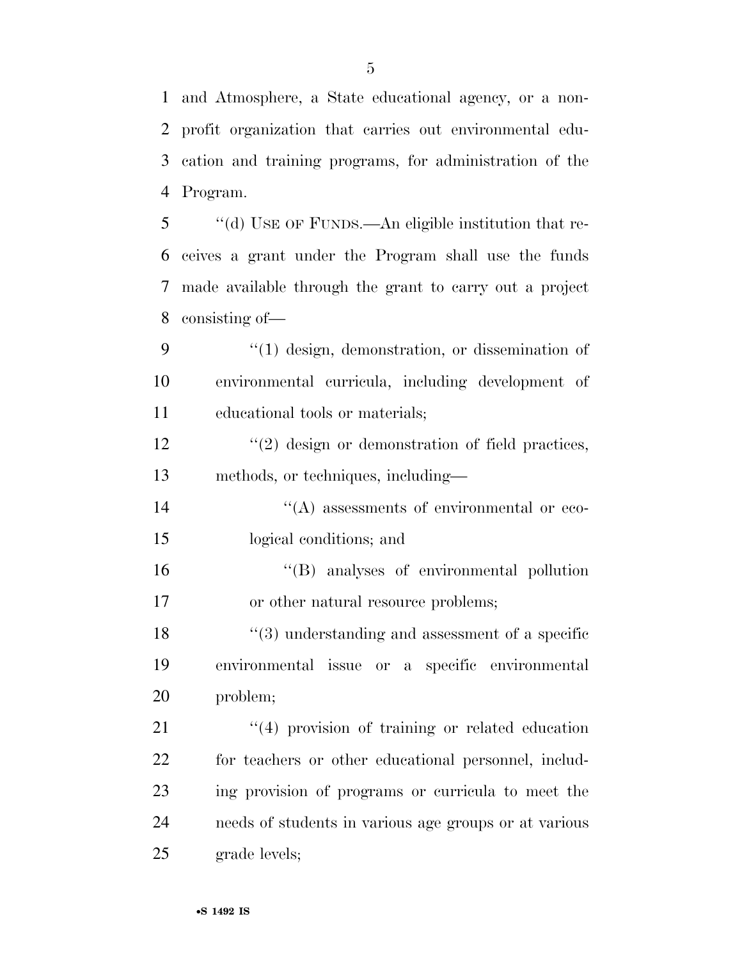and Atmosphere, a State educational agency, or a non- profit organization that carries out environmental edu- cation and training programs, for administration of the Program.

 ''(d) USE OF FUNDS.—An eligible institution that re- ceives a grant under the Program shall use the funds made available through the grant to carry out a project consisting of—

9  $\frac{4}{1}$  design, demonstration, or dissemination of environmental curricula, including development of educational tools or materials;

12 ''(2) design or demonstration of field practices, methods, or techniques, including—

 ''(A) assessments of environmental or eco-logical conditions; and

 ''(B) analyses of environmental pollution 17 or other natural resource problems;

 ''(3) understanding and assessment of a specific environmental issue or a specific environmental problem;

21 ''(4) provision of training or related education for teachers or other educational personnel, includ- ing provision of programs or curricula to meet the needs of students in various age groups or at various grade levels;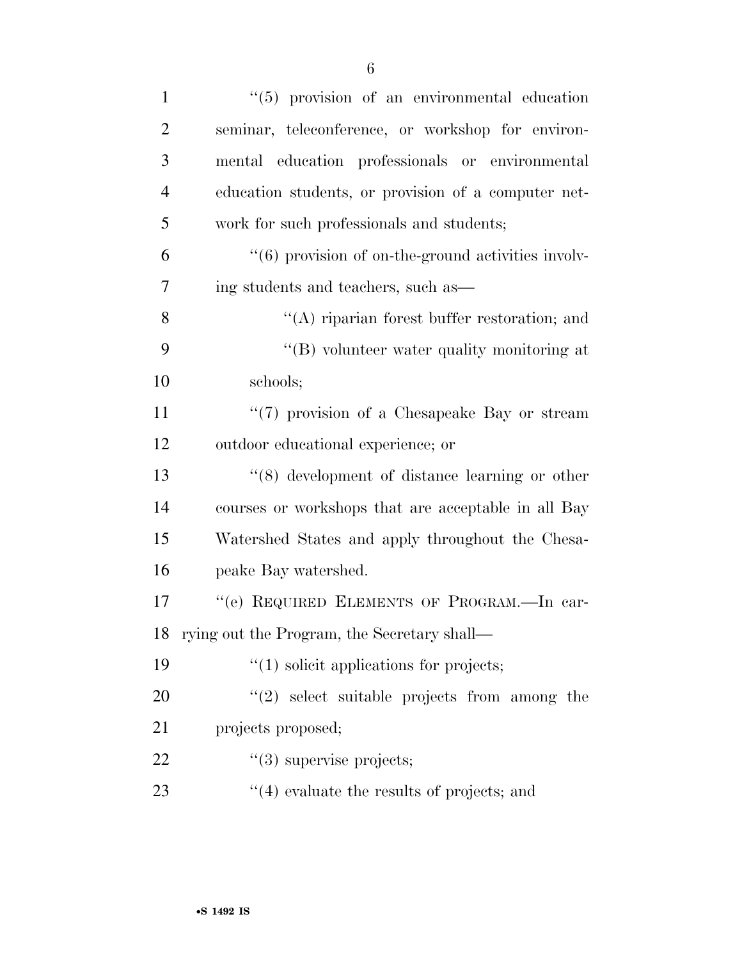| $\mathbf{1}$   | "(5) provision of an environmental education                       |
|----------------|--------------------------------------------------------------------|
| $\overline{2}$ | seminar, teleconference, or workshop for environ-                  |
| 3              | mental education professionals or environmental                    |
| $\overline{4}$ | education students, or provision of a computer net-                |
| 5              | work for such professionals and students;                          |
| 6              | $\cdot\cdot\cdot(6)$ provision of on-the-ground activities involv- |
| 7              | ing students and teachers, such as—                                |
| 8              | $\lq\lq$ riparian forest buffer restoration; and                   |
| 9              | "(B) volunteer water quality monitoring at                         |
| 10             | schools;                                                           |
| 11             | "(7) provision of a Chesapeake Bay or stream                       |
| 12             | outdoor educational experience; or                                 |
| 13             | $\cdot$ (8) development of distance learning or other              |
| 14             | courses or workshops that are acceptable in all Bay                |
| 15             | Watershed States and apply throughout the Chesa-                   |
| 16             | peake Bay watershed.                                               |
| 17             | "(e) REQUIRED ELEMENTS OF PROGRAM.-In car-                         |
|                | 18 rying out the Program, the Secretary shall—                     |
| 19             | $\lq(1)$ solicit applications for projects;                        |
| 20             | $(2)$ select suitable projects from among the                      |
| 21             | projects proposed;                                                 |
| 22             | $\lq(3)$ supervise projects;                                       |
| 23             | $\cdot$ (4) evaluate the results of projects; and                  |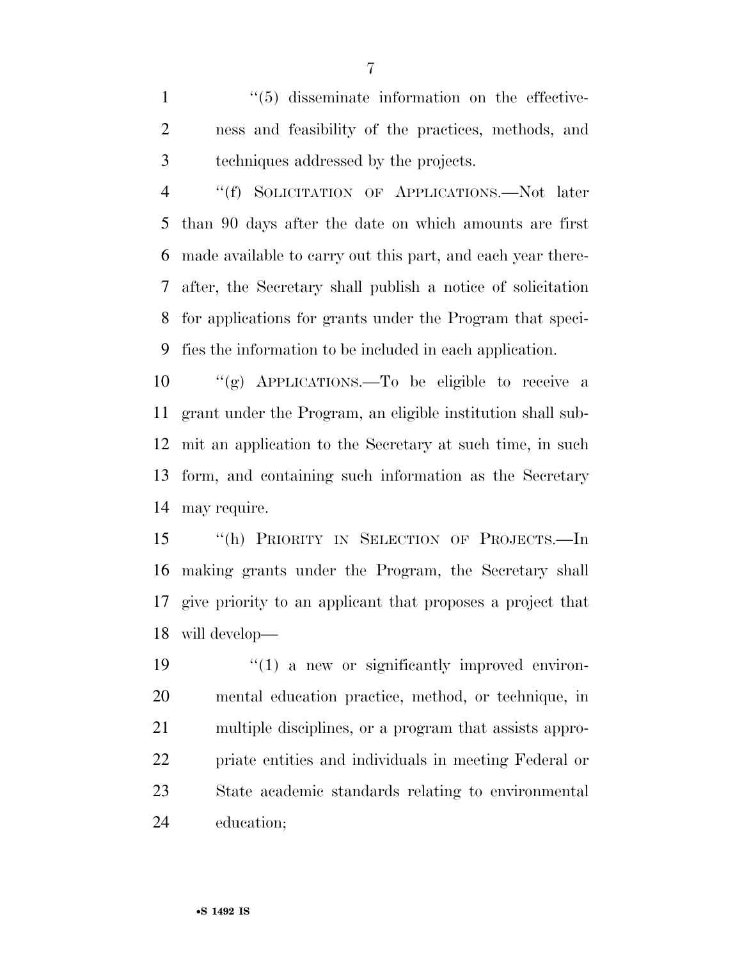1  $\frac{1}{5}$  disseminate information on the effective- ness and feasibility of the practices, methods, and techniques addressed by the projects.

 ''(f) SOLICITATION OF APPLICATIONS.—Not later than 90 days after the date on which amounts are first made available to carry out this part, and each year there- after, the Secretary shall publish a notice of solicitation for applications for grants under the Program that speci-fies the information to be included in each application.

 ''(g) APPLICATIONS.—To be eligible to receive a grant under the Program, an eligible institution shall sub- mit an application to the Secretary at such time, in such form, and containing such information as the Secretary may require.

 ''(h) PRIORITY IN SELECTION OF PROJECTS.—In making grants under the Program, the Secretary shall give priority to an applicant that proposes a project that will develop—

 $\frac{1}{2}$  (1) a new or significantly improved environ- mental education practice, method, or technique, in multiple disciplines, or a program that assists appro- priate entities and individuals in meeting Federal or State academic standards relating to environmental education;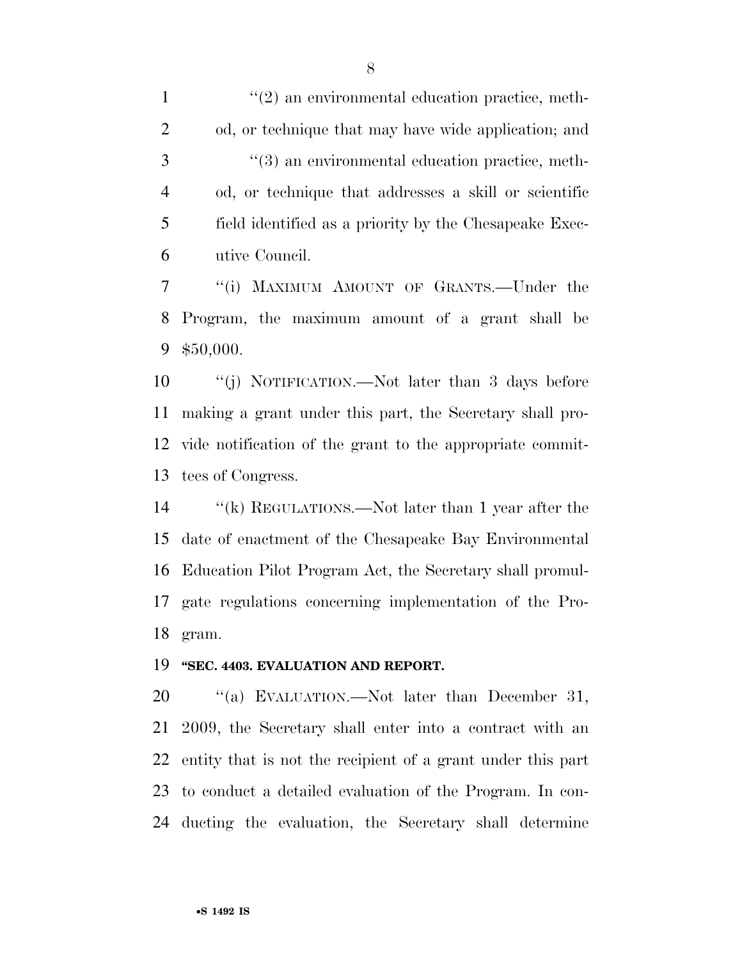$\frac{1}{2}$  an environmental education practice, meth- od, or technique that may have wide application; and ''(3) an environmental education practice, meth- od, or technique that addresses a skill or scientific field identified as a priority by the Chesapeake Exec-utive Council.

 ''(i) MAXIMUM AMOUNT OF GRANTS.—Under the Program, the maximum amount of a grant shall be \$50,000.

 ''(j) NOTIFICATION.—Not later than 3 days before making a grant under this part, the Secretary shall pro- vide notification of the grant to the appropriate commit-tees of Congress.

 ''(k) REGULATIONS.—Not later than 1 year after the date of enactment of the Chesapeake Bay Environmental Education Pilot Program Act, the Secretary shall promul- gate regulations concerning implementation of the Pro-gram.

#### **''SEC. 4403. EVALUATION AND REPORT.**

20 "(a) EVALUATION.—Not later than December 31, 2009, the Secretary shall enter into a contract with an entity that is not the recipient of a grant under this part to conduct a detailed evaluation of the Program. In con-ducting the evaluation, the Secretary shall determine